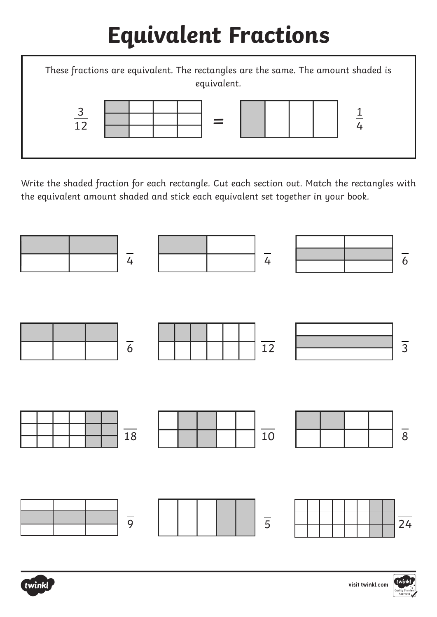### **Equivalent Fractions**



Write the shaded fraction for each rectangle. Cut each section out. Match the rectangles with the equivalent amount shaded and stick each equivalent set together in your book.





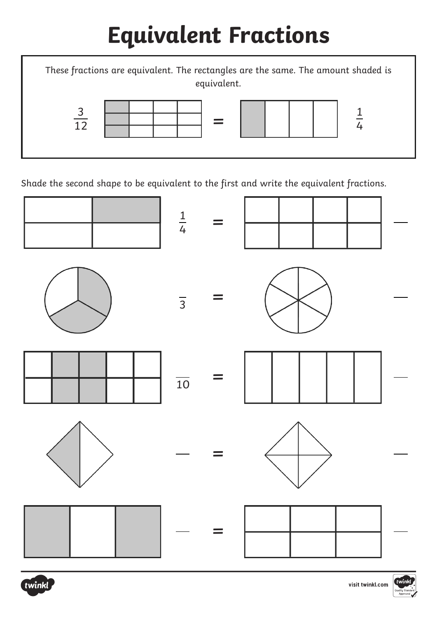### **Equivalent Fractions**



Shade the second shape to be equivalent to the first and write the equivalent fractions.





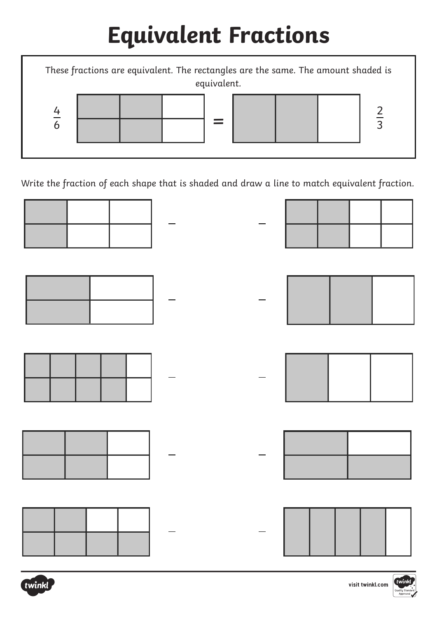#### **Equivalent Fractions**

= These fractions are equivalent. The rectangles are the same. The amount shaded is equivalent. 4 6 2 3

Write the fraction of each shape that is shaded and draw a line to match equivalent fraction.

| ╶╉╼┽┷┥╴                                                                                                                                                                                                                                        |  |                                         |
|------------------------------------------------------------------------------------------------------------------------------------------------------------------------------------------------------------------------------------------------|--|-----------------------------------------|
|                                                                                                                                                                                                                                                |  | $\cdot$ , and the set of $\mathbb{R}^n$ |
|                                                                                                                                                                                                                                                |  | $  $ $ $ $ $ $ $ $ $                    |
| $\begin{array}{ c c c c c }\hline \quad \quad & \quad -\quad \quad & \quad -\quad \quad \\ \hline \quad \quad & \quad -\quad \quad & \quad -\quad \quad \\ \hline \quad \quad & \quad -\quad \quad & \quad -\quad \quad \\ \hline \end{array}$ |  |                                         |
|                                                                                                                                                                                                                                                |  | $\cdot$                                 |

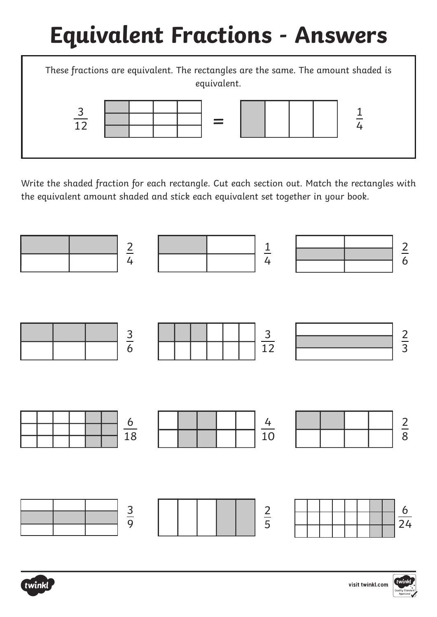# **Equivalent Fractions - Answers**



Write the shaded fraction for each rectangle. Cut each section out. Match the rectangles with the equivalent amount shaded and stick each equivalent set together in your book.



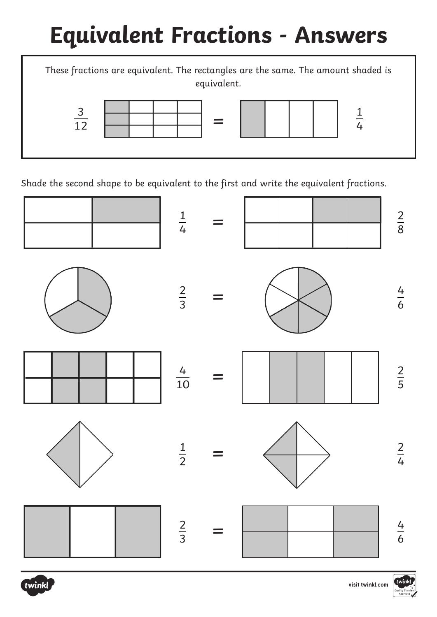# **Equivalent Fractions - Answers**



Shade the second shape to be equivalent to the first and write the equivalent fractions.